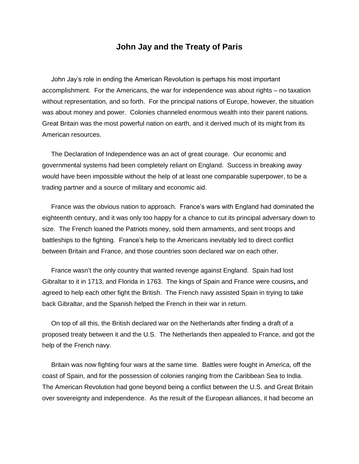## **John Jay and the Treaty of Paris**

 John Jay's role in ending the American Revolution is perhaps his most important accomplishment. For the Americans, the war for independence was about rights – no taxation without representation, and so forth. For the principal nations of Europe, however, the situation was about money and power. Colonies channeled enormous wealth into their parent nations. Great Britain was the most powerful nation on earth, and it derived much of its might from its American resources.

 The Declaration of Independence was an act of great courage. Our economic and governmental systems had been completely reliant on England. Success in breaking away would have been impossible without the help of at least one comparable superpower, to be a trading partner and a source of military and economic aid.

 France was the obvious nation to approach. France's wars with England had dominated the eighteenth century, and it was only too happy for a chance to cut its principal adversary down to size. The French loaned the Patriots money, sold them armaments, and sent troops and battleships to the fighting. France's help to the Americans inevitably led to direct conflict between Britain and France, and those countries soon declared war on each other.

 France wasn't the only country that wanted revenge against England. Spain had lost Gibraltar to it in 1713, and Florida in 1763. The kings of Spain and France were cousins**,** and agreed to help each other fight the British. The French navy assisted Spain in trying to take back Gibraltar, and the Spanish helped the French in their war in return.

 On top of all this, the British declared war on the Netherlands after finding a draft of a proposed treaty between it and the U.S. The Netherlands then appealed to France, and got the help of the French navy.

 Britain was now fighting four wars at the same time. Battles were fought in America, off the coast of Spain, and for the possession of colonies ranging from the Caribbean Sea to India. The American Revolution had gone beyond being a conflict between the U.S. and Great Britain over sovereignty and independence. As the result of the European alliances, it had become an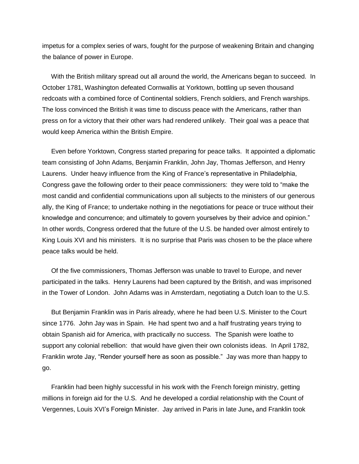impetus for a complex series of wars, fought for the purpose of weakening Britain and changing the balance of power in Europe.

 With the British military spread out all around the world, the Americans began to succeed. In October 1781, Washington defeated Cornwallis at Yorktown, bottling up seven thousand redcoats with a combined force of Continental soldiers, French soldiers, and French warships. The loss convinced the British it was time to discuss peace with the Americans, rather than press on for a victory that their other wars had rendered unlikely. Their goal was a peace that would keep America within the British Empire.

 Even before Yorktown, Congress started preparing for peace talks. It appointed a diplomatic team consisting of John Adams, Benjamin Franklin, John Jay, Thomas Jefferson, and Henry Laurens. Under heavy influence from the King of France's representative in Philadelphia, Congress gave the following order to their peace commissioners: they were told to "make the most candid and confidential communications upon all subjects to the ministers of our generous ally, the King of France; to undertake nothing in the negotiations for peace or truce without their knowledge and concurrence; and ultimately to govern yourselves by their advice and opinion." In other words, Congress ordered that the future of the U.S. be handed over almost entirely to King Louis XVI and his ministers. It is no surprise that Paris was chosen to be the place where peace talks would be held.

 Of the five commissioners, Thomas Jefferson was unable to travel to Europe, and never participated in the talks. Henry Laurens had been captured by the British, and was imprisoned in the Tower of London. John Adams was in Amsterdam, negotiating a Dutch loan to the U.S.

 But Benjamin Franklin was in Paris already, where he had been U.S. Minister to the Court since 1776. John Jay was in Spain. He had spent two and a half frustrating years trying to obtain Spanish aid for America, with practically no success. The Spanish were loathe to support any colonial rebellion: that would have given their own colonists ideas. In April 1782, Franklin wrote Jay, "Render yourself here as soon as possible." Jay was more than happy to go.

 Franklin had been highly successful in his work with the French foreign ministry, getting millions in foreign aid for the U.S. And he developed a cordial relationship with the Count of Vergennes, Louis XVI's Foreign Minister. Jay arrived in Paris in late June**,** and Franklin took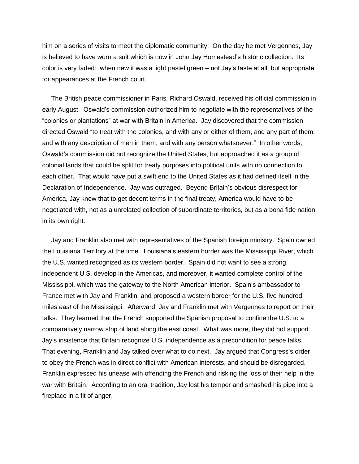him on a series of visits to meet the diplomatic community. On the day he met Vergennes, Jay is believed to have worn a suit which is now in John Jay Homestead's historic collection. Its color is very faded: when new it was a light pastel green – not Jay's taste at all, but appropriate for appearances at the French court.

 The British peace commissioner in Paris, Richard Oswald, received his official commission in early August. Oswald's commission authorized him to negotiate with the representatives of the "colonies or plantations" at war with Britain in America. Jay discovered that the commission directed Oswald "to treat with the colonies, and with any or either of them, and any part of them, and with any description of men in them, and with any person whatsoever." In other words, Oswald's commission did not recognize the United States, but approached it as a group of colonial lands that could be split for treaty purposes into political units with no connection to each other. That would have put a swift end to the United States as it had defined itself in the Declaration of Independence. Jay was outraged. Beyond Britain's obvious disrespect for America, Jay knew that to get decent terms in the final treaty, America would have to be negotiated with, not as a unrelated collection of subordinate territories, but as a bona fide nation in its own right.

 Jay and Franklin also met with representatives of the Spanish foreign ministry. Spain owned the Louisiana Territory at the time. Louisiana's eastern border was the Mississippi River, which the U.S. wanted recognized as its western border. Spain did not want to see a strong, independent U.S. develop in the Americas, and moreover, it wanted complete control of the Mississippi, which was the gateway to the North American interior. Spain's ambassador to France met with Jay and Franklin, and proposed a western border for the U.S. five hundred miles *east* of the Mississippi. Afterward, Jay and Franklin met with Vergennes to report on their talks. They learned that the French supported the Spanish proposal to confine the U.S. to a comparatively narrow strip of land along the east coast. What was more, they did not support Jay's insistence that Britain recognize U.S. independence as a precondition for peace talks. That evening, Franklin and Jay talked over what to do next. Jay argued that Congress's order to obey the French was in direct conflict with American interests, and should be disregarded. Franklin expressed his unease with offending the French and risking the loss of their help in the war with Britain. According to an oral tradition, Jay lost his temper and smashed his pipe into a fireplace in a fit of anger.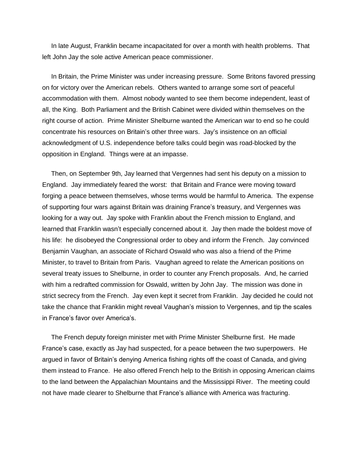In late August, Franklin became incapacitated for over a month with health problems. That left John Jay the sole active American peace commissioner.

 In Britain, the Prime Minister was under increasing pressure. Some Britons favored pressing on for victory over the American rebels. Others wanted to arrange some sort of peaceful accommodation with them. Almost nobody wanted to see them become independent, least of all, the King. Both Parliament and the British Cabinet were divided within themselves on the right course of action. Prime Minister Shelburne wanted the American war to end so he could concentrate his resources on Britain's other three wars. Jay's insistence on an official acknowledgment of U.S. independence before talks could begin was road-blocked by the opposition in England. Things were at an impasse.

 Then, on September 9th, Jay learned that Vergennes had sent his deputy on a mission to England. Jay immediately feared the worst: that Britain and France were moving toward forging a peace between themselves, whose terms would be harmful to America. The expense of supporting four wars against Britain was draining France's treasury, and Vergennes was looking for a way out. Jay spoke with Franklin about the French mission to England, and learned that Franklin wasn't especially concerned about it. Jay then made the boldest move of his life: he disobeyed the Congressional order to obey and inform the French. Jay convinced Benjamin Vaughan, an associate of Richard Oswald who was also a friend of the Prime Minister, to travel to Britain from Paris. Vaughan agreed to relate the American positions on several treaty issues to Shelburne, in order to counter any French proposals. And, he carried with him a redrafted commission for Oswald, written by John Jay. The mission was done in strict secrecy from the French. Jay even kept it secret from Franklin. Jay decided he could not take the chance that Franklin might reveal Vaughan's mission to Vergennes, and tip the scales in France's favor over America's.

 The French deputy foreign minister met with Prime Minister Shelburne first. He made France's case, exactly as Jay had suspected, for a peace between the two superpowers. He argued in favor of Britain's denying America fishing rights off the coast of Canada, and giving them instead to France. He also offered French help to the British in opposing American claims to the land between the Appalachian Mountains and the Mississippi River. The meeting could not have made clearer to Shelburne that France's alliance with America was fracturing.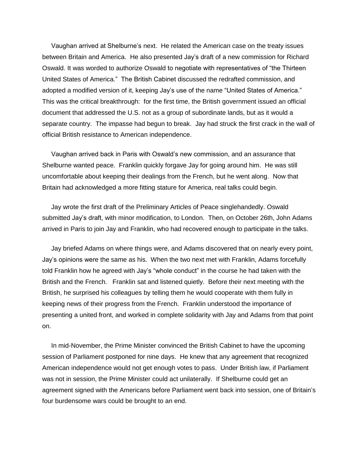Vaughan arrived at Shelburne's next. He related the American case on the treaty issues between Britain and America. He also presented Jay's draft of a new commission for Richard Oswald. It was worded to authorize Oswald to negotiate with representatives of "the Thirteen United States of America." The British Cabinet discussed the redrafted commission, and adopted a modified version of it, keeping Jay's use of the name "United States of America." This was the critical breakthrough: for the first time, the British government issued an official document that addressed the U.S. not as a group of subordinate lands, but as it would a separate country. The impasse had begun to break. Jay had struck the first crack in the wall of official British resistance to American independence.

 Vaughan arrived back in Paris with Oswald's new commission, and an assurance that Shelburne wanted peace. Franklin quickly forgave Jay for going around him. He was still uncomfortable about keeping their dealings from the French, but he went along. Now that Britain had acknowledged a more fitting stature for America, real talks could begin.

 Jay wrote the first draft of the Preliminary Articles of Peace singlehandedly. Oswald submitted Jay's draft, with minor modification, to London. Then, on October 26th, John Adams arrived in Paris to join Jay and Franklin, who had recovered enough to participate in the talks.

 Jay briefed Adams on where things were, and Adams discovered that on nearly every point, Jay's opinions were the same as his. When the two next met with Franklin, Adams forcefully told Franklin how he agreed with Jay's "whole conduct" in the course he had taken with the British and the French. Franklin sat and listened quietly. Before their next meeting with the British, he surprised his colleagues by telling them he would cooperate with them fully in keeping news of their progress from the French. Franklin understood the importance of presenting a united front, and worked in complete solidarity with Jay and Adams from that point on.

 In mid-November, the Prime Minister convinced the British Cabinet to have the upcoming session of Parliament postponed for nine days. He knew that any agreement that recognized American independence would not get enough votes to pass. Under British law, if Parliament was not in session, the Prime Minister could act unilaterally. If Shelburne could get an agreement signed with the Americans before Parliament went back into session, one of Britain's four burdensome wars could be brought to an end.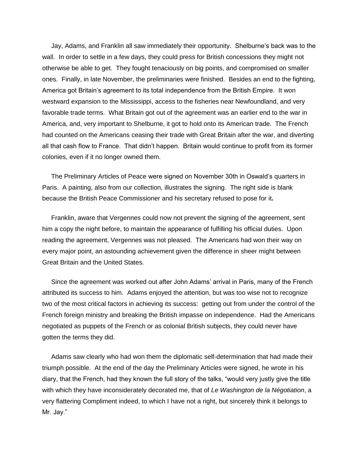Jay, Adams, and Franklin all saw immediately their opportunity. Shelburne's back was to the wall. In order to settle in a few days, they could press for British concessions they might not otherwise be able to get. They fought tenaciously on big points, and compromised on smaller ones. Finally, in late November, the preliminaries were finished. Besides an end to the fighting, America got Britain's agreement to its total independence from the British Empire. It won westward expansion to the Mississippi, access to the fisheries near Newfoundland, and very favorable trade terms. What Britain got out of the agreement was an earlier end to the war in America, and, very important to Shelburne, it got to hold onto its American trade. The French had counted on the Americans ceasing their trade with Great Britain after the war, and diverting all that cash flow to France. That didn't happen. Britain would continue to profit from its former colonies, even if it no longer owned them.

 The Preliminary Articles of Peace were signed on November 30th in Oswald's quarters in Paris. A painting, also from our collection, illustrates the signing. The right side is blank because the British Peace Commissioner and his secretary refused to pose for it**.** 

Franklin, aware that Vergennes could now not prevent the signing of the agreement, sent him a copy the night before, to maintain the appearance of fulfilling his official duties. Upon reading the agreement, Vergennes was not pleased. The Americans had won their way on every major point, an astounding achievement given the difference in sheer might between Great Britain and the United States.

 Since the agreement was worked out after John Adams' arrival in Paris, many of the French attributed its success to him. Adams enjoyed the attention, but was too wise not to recognize two of the most critical factors in achieving its success: getting out from under the control of the French foreign ministry and breaking the British impasse on independence. Had the Americans negotiated as puppets of the French or as colonial British subjects, they could never have gotten the terms they did.

 Adams saw clearly who had won them the diplomatic self-determination that had made their triumph possible. At the end of the day the Preliminary Articles were signed, he wrote in his diary, that the French, had they known the full story of the talks, "would very justly give the title with which they have inconsiderately decorated me, that of *Le Washington de la Négotiation*, a very flattering Compliment indeed, to which I have not a right, but sincerely think it belongs to Mr. Jay."